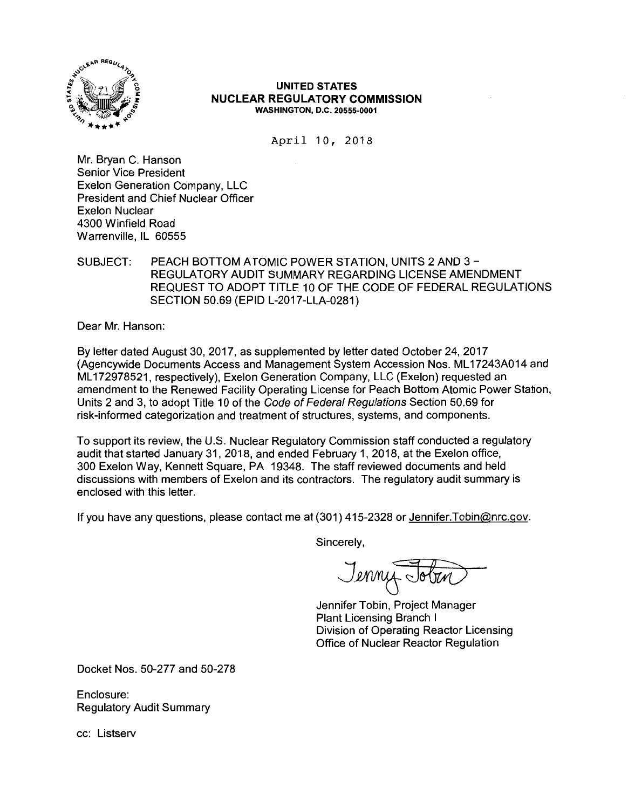

#### **UNITED STATES NUCLEAR REGULATORY COMMISSION WASHINGTON, D.C. 20555-0001**

April 10, 2018

Mr. Bryan C. Hanson Senior Vice President Exelon Generation Company, LLC President and Chief Nuclear Officer Exelon Nuclear 4300 Winfield Road Warrenville, IL 60555

SUBJECT: PEACH BOTTOM ATOMIC POWER STATION, UNITS 2 AND 3 - REGULATORY AUDIT SUMMARY REGARDING LICENSE AMENDMENT REQUEST TO ADOPT TITLE 10 OF THE CODE OF FEDERAL REGULATIONS SECTION 50.69 (EPID L-2017-LLA-0281)

Dear Mr. Hanson:

By letter dated August 30, 2017, as supplemented by letter dated October 24, 2017 (Agencywide Documents Access and Management System Accession Nos. ML 17243A014 and ML 172978521, respectively), Exelon Generation Company, LLC (Exelon) requested an amendment to the Renewed Facility Operating License for Peach Bottom Atomic Power Station, Units 2 and 3, to adopt Title 10 of the Code of Federal Regulations Section 50.69 for risk-informed categorization and treatment of structures, systems, and components.

To support its review, the U.S. Nuclear Regulatory Commission staff conducted a regulatory audit that started January 31, 2018, and ended February 1, 2018, at the Exelon office, 300 Exelon Way, Kennett Square, PA 19348. The staff reviewed documents and held discussions with members of Exelon and its contractors. The regulatory audit summary is enclosed with this letter.

If you have any questions, please contact me at (301) 415-2328 or Jennifer. Tobin@nrc.gov.

Sincerely,

Jenny Jobin

Jennifer Tobin, Project Manager Plant Licensing Branch I Division of Operating Reactor Licensing Office of Nuclear Reactor Regulation

Docket Nos. 50-277 and 50-278

Enclosure: Regulatory Audit Summary

cc: Listserv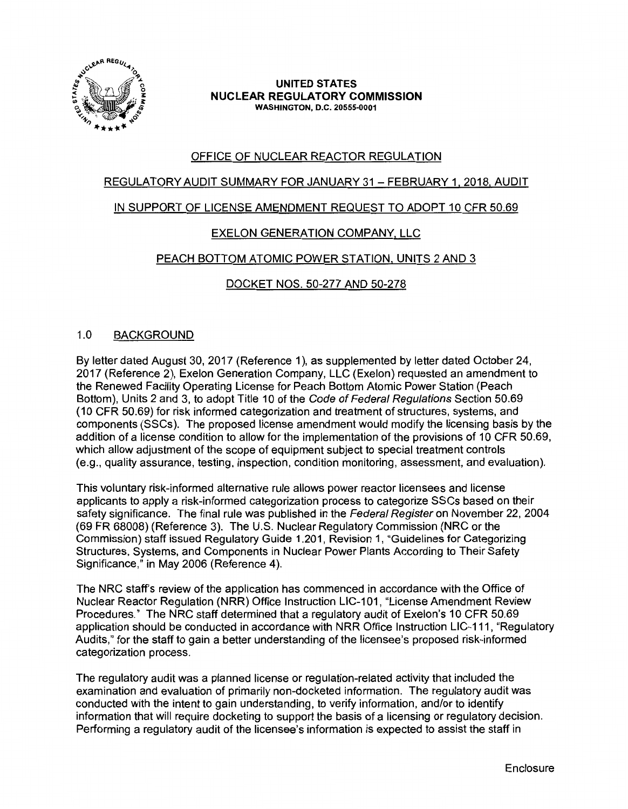

#### **UNITED STATES NUCLEAR REGULATORY COMMISSION WASHINGTON, D.C. 20555-0001**

# OFFICE OF NUCLEAR REACTOR REGULATION

## REGULATORY AUDIT SUMMARY FOR JANUARY 31 - FEBRUARY 1, 2018, AUDIT

## IN SUPPORT OF LICENSE AMENDMENT REQUEST TO ADOPT 10 CFR 50.69

# EXELON GENERATION COMPANY, LLC

## PEACH BOTTOM ATOMIC POWER STATION, UNITS 2 AND 3

## DOCKET NOS. 50-277 AND 50-278

### 1.0 BACKGROUND

By letter dated August 30, 2017 (Reference 1), as supplemented by letter dated October 24, 2017 (Reference 2), Exelon Generation Company, LLC (Exelon) requested an amendment to the Renewed Facility Operating License for Peach Bottom Atomic Power Station (Peach Bottom), Units 2 and 3, to adopt Title 10 of the Code of Federal Regulations Section 50.69 (10 CFR 50.69) for risk informed categorization and treatment of structures, systems, and components (SSCs ). The proposed license amendment would modify the licensing basis by the addition of a license condition to allow for the implementation of the provisions of 10 CFR 50.69, which allow adjustment of the scope of equipment subject to special treatment controls (e.g., quality assurance, testing, inspection, condition monitoring, assessment, and evaluation).

This voluntary risk-informed alternative rule allows power reactor licensees and license applicants to apply a risk-informed categorization process to categorize SSCs based on their safety significance. The final rule was published in the Federal Register on November 22, 2004 (69 FR 68008) (Reference 3). The U.S. Nuclear Regulatory Commission (NRC or the Commission) staff issued Regulatory Guide 1.201, Revision 1, "Guidelines for Categorizing Structures, Systems, and Components in Nuclear Power Plants According to Their Safety Significance," in May 2006 (Reference 4).

The NRC staff's review of the application has commenced in accordance with the Office of Nuclear Reactor Regulation (NRR) Office Instruction LIC-101, "License Amendment Review Procedures." The NRC staff determined that a regulatory audit of Exelon's 10 CFR 50.69 application should be conducted in accordance with NRR Office Instruction LIC-111, "Regulatory Audits," for the staff to gain a better understanding of the licensee's proposed risk-informed categorization process.

The regulatory audit was a planned license or regulation-related activity that included the examination and evaluation of primarily non-docketed information. The regulatory audit was conducted with the intent to gain understanding, to verify information, and/or to identify information that will require docketing to support the basis of a licensing or regulatory decision. Performing a regulatory audit of the licensee's information is expected to assist the staff in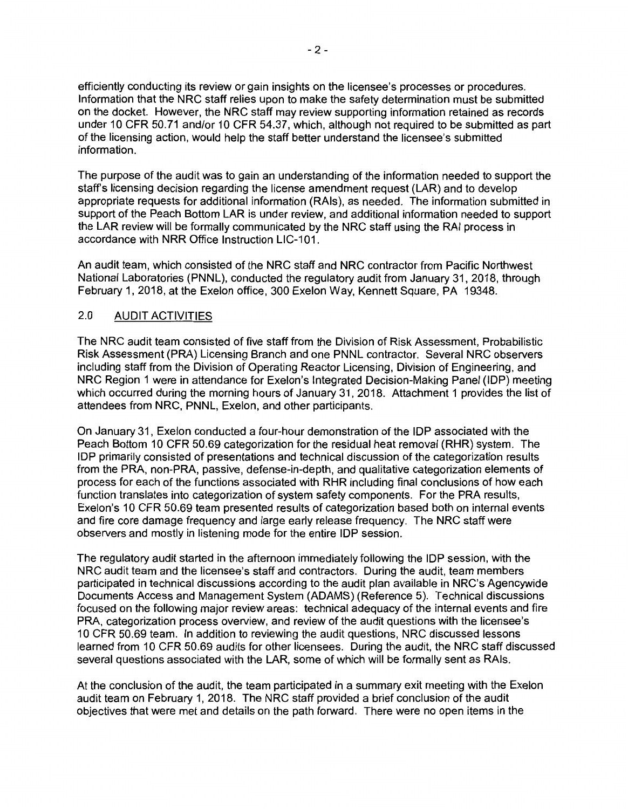efficiently conducting its review or gain insights on the licensee's processes or procedures. Information that the NRC staff relies upon to make the safety determination must be submitted on the docket. However, the NRC staff may review supporting information retained as records under 10 CFR 50.71 and/or 10 CFR 54.37, which, although not required to be submitted as part of the licensing action, would help the staff better understand the licensee's submitted information.

The purpose of the audit was to gain an understanding of the information needed to support the staff's licensing decision regarding the license amendment request (LAR) and to develop appropriate requests for additional information (RAls), as needed. The information submitted in support of the Peach Bottom LAR is under review, and additional information needed to support the LAR review will be formally communicated by the NRC staff using the RAI process in accordance with NRR Office Instruction LIC-101.

An audit team, which consisted of the NRC staff and NRC contractor from Pacific Northwest National Laboratories (PNNL), conducted the regulatory audit from January 31, 2018, through February 1, 2018, at the Exelon office, 300 Exelon Way, Kennett Square, PA 19348.

## 2.0 AUDIT ACTIVITIES

The NRC audit team consisted of five staff from the Division of Risk Assessment, Probabilistic Risk Assessment (PRA) Licensing Branch and one PNNL contractor. Several NRC observers including staff from the Division of Operating Reactor Licensing, Division of Engineering, and NRC Region 1 were in attendance for Exelon's Integrated Decision-Making Panel (IDP) meeting which occurred during the morning hours of January 31, 2018. Attachment 1 provides the list of attendees from NRC, PNNL, Exelon, and other participants.

On January 31, Exelon conducted a four-hour demonstration of the IDP associated with the Peach Bottom 10 CFR 50.69 categorization for the residual heat removal (RHR) system. The IDP primarily consisted of presentations and technical discussion of the categorization results from the PRA, non-PRA, passive, defense-in-depth, and qualitative categorization elements of process for each of the functions associated with RHR including final conclusions of how each function translates into categorization of system safety components. For the PRA results, Exelon's 10 CFR 50.69 team presented results of categorization based both on internal events and fire core damage frequency and large early release frequency. The NRC staff were observers and mostly in listening mode for the entire IDP session.

The regulatory audit started in the afternoon immediately following the IDP session, with the NRC audit team and the licensee's staff and contractors. During the audit, team members participated in technical discussions according to the audit plan available in NRC's Agencywide Documents Access and Management System (ADAMS) (Reference 5). Technical discussions focused on the following major review areas: technical adequacy of the internal events and fire PRA, categorization process overview, and review of the audit questions with the licensee's 10 CFR 50.69 team. In addition to reviewing the audit questions, NRC discussed lessons learned from 10 CFR 50.69 audits for other licensees. During the audit, the NRC staff discussed several questions associated with the LAR, some of which will be formally sent as RAls.

At the conclusion of the audit, the team participated in a summary exit meeting with the Exelon audit team on February 1, 2018. The NRC staff provided a brief conclusion of the audit objectives that were met and details on the path forward. There were no open items in the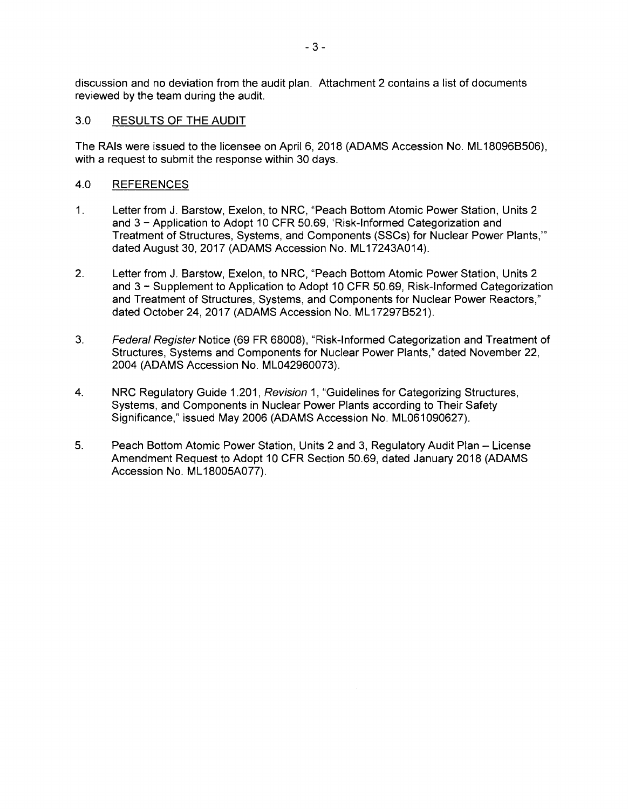discussion and no deviation from the audit plan. Attachment 2 contains a list of documents reviewed by the team during the audit.

#### 3.0 RESULTS OF THE AUDIT

The RAls were issued to the licensee on April 6, 2018 (ADAMS Accession No. ML 180968506), with a request to submit the response within 30 days.

#### 4.0 REFERENCES

- 1. Letter from J. Barstow, Exelon, to NRC, "Peach Bottom Atomic Power Station, Units 2 and 3 - Application to Adopt 10 CFR 50.69, 'Risk-Informed Categorization and Treatment of Structures, Systems, and Components (SSCs) for Nuclear Power Plants,"' dated August 30, 2017 (ADAMS Accession No. ML17243A014).
- 2. Letter from J. Barstow, Exelon, to NRC, "Peach Bottom Atomic Power Station, Units 2 and 3 - Supplement to Application to Adopt 10 CFR 50.69, Risk-Informed Categorization and Treatment of Structures, Systems, and Components for Nuclear Power Reactors," dated October 24, 2017 (ADAMS Accession No. ML17297B521).
- 3. Federal Register Notice (69 FR 68008), "Risk-Informed Categorization and Treatment of Structures, Systems and Components for Nuclear Power Plants," dated November 22, 2004 **(ADAMS** Accession No. ML042960073).
- 4. NRC Regulatory Guide 1.201, Revision 1, "Guidelines for Categorizing Structures, Systems, and Components in Nuclear Power Plants according to Their Safety Significance," issued May 2006 (ADAMS Accession No. ML061090627).
- 5. Peach Bottom Atomic Power Station, Units 2 and 3, Regulatory Audit Plan License Amendment Request to Adopt 10 CFR Section 50.69, dated January 2018 (ADAMS Accession No. ML 18005A077).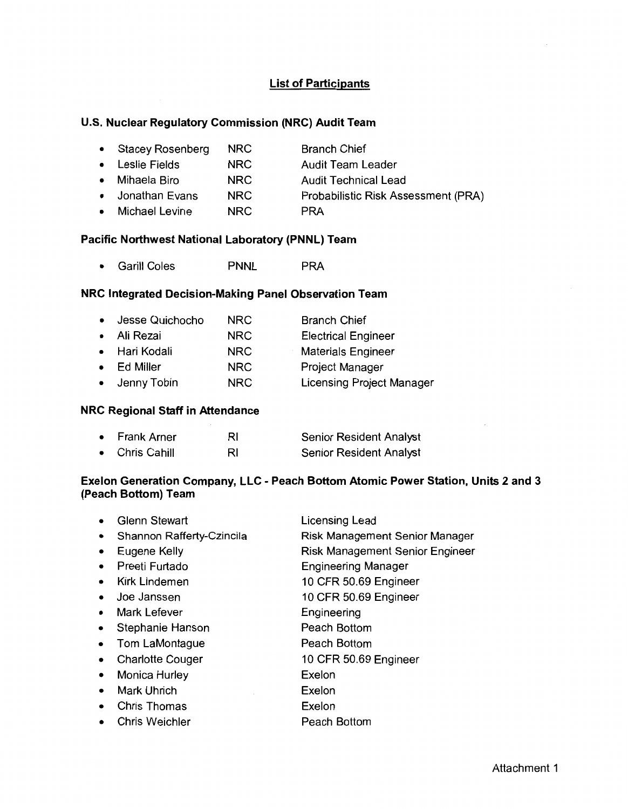## **List of Participants**

### **U.S. Nuclear Regulatory Commission (NRC) Audit Team**

| • Stacey Rosenberg | NRC. | <b>Branch Chief</b>                 |
|--------------------|------|-------------------------------------|
| • Leslie Fields    | NRC. | <b>Audit Team Leader</b>            |
| • Mihaela Biro     | NRC. | <b>Audit Technical Lead</b>         |
| • Jonathan Evans   | NRC. | Probabilistic Risk Assessment (PRA) |
|                    |      |                                     |

• Michael Levine **NRC PRA** 

### **Pacific Northwest National Laboratory (PNNL) Team**

• Garill Coles PNNL PRA

# **NRC Integrated Decision-Making Panel Observation Team**

| $\bullet$ | Jesse Quichocho | <b>NRC</b> | <b>Branch Chief</b>              |
|-----------|-----------------|------------|----------------------------------|
| $\bullet$ | Ali Rezai       | <b>NRC</b> | <b>Electrical Engineer</b>       |
|           | • Hari Kodali   | <b>NRC</b> | <b>Materials Engineer</b>        |
| $\bullet$ | Ed Miller       | <b>NRC</b> | <b>Project Manager</b>           |
|           | • Jenny Tobin   | <b>NRC</b> | <b>Licensing Project Manager</b> |

#### **NRC Regional Staff in Attendance**

| • Frank Arner  | RI | Senior Resident Analyst        |
|----------------|----|--------------------------------|
| • Chris Cahill | RI | <b>Senior Resident Analyst</b> |

# **Exelon Generation Company, LLC - Peach Bottom Atomic Power Station, Units 2 and 3 (Peach Bottom) Team**

|           | <b>Glenn Stewart</b>      | Licensing Lead                         |
|-----------|---------------------------|----------------------------------------|
| $\bullet$ | Shannon Rafferty-Czincila | Risk Management Senior Manager         |
| ٠         | Eugene Kelly              | <b>Risk Management Senior Engineer</b> |
| $\bullet$ | Preeti Furtado            | <b>Engineering Manager</b>             |
| $\bullet$ | <b>Kirk Lindemen</b>      | 10 CFR 50.69 Engineer                  |
| $\bullet$ | Joe Janssen               | 10 CFR 50.69 Engineer                  |
| $\bullet$ | <b>Mark Lefever</b>       | Engineering                            |
| $\bullet$ | Stephanie Hanson          | Peach Bottom                           |
| ٠         | Tom LaMontague            | Peach Bottom                           |
| $\bullet$ | <b>Charlotte Couger</b>   | 10 CFR 50.69 Engineer                  |
| $\bullet$ | <b>Monica Hurley</b>      | Exelon                                 |
| $\bullet$ | Mark Uhrich               | Exelon                                 |
|           | <b>Chris Thomas</b>       | Exelon                                 |
|           | <b>Chris Weichler</b>     | Peach Bottom                           |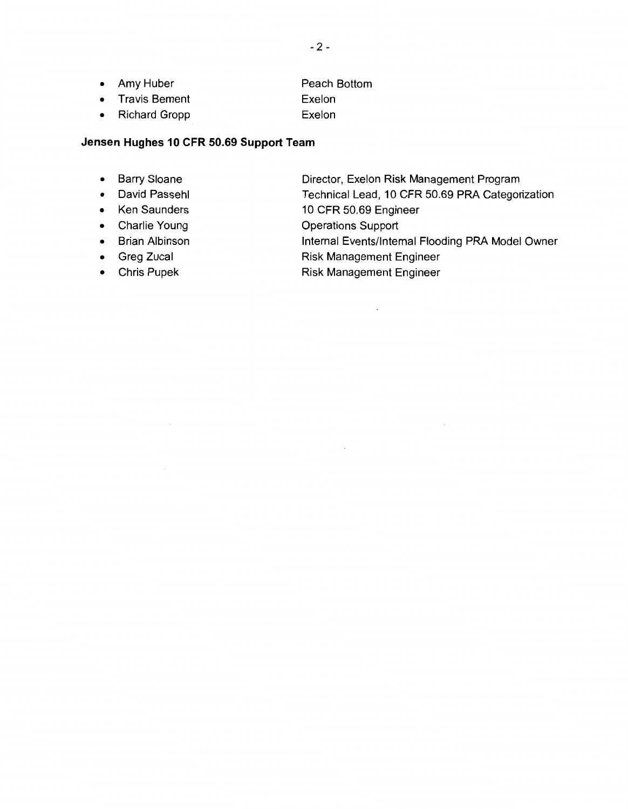- Amy Huber Peach Bottom
- Travis Bement Exelon
- Richard Gropp Exelon

## **Jensen Hughes 10 CFR 50.69 Support Team**

- 
- 
- 
- 
- 
- 
- 
- Barry Sloane **Director, Exelon Risk Management Program**<br>• David Passehl **Director, Exelon Risk Management Program**
- David Passehl **Technical Lead, 10 CFR 50.69 PRA Categorization**<br>• Ken Saunders **10 CFR 50.69 Engineer**
- Ken Saunders 10 CFR 50.69 Engineer<br>• Charlie Young Charles Coperations Support
- Charlie Young **Operations Support**<br>• Brian Albinson **Contains Internal Events/Inter**

 $\bar{z}$ 

• Brian Albinson Internal Events/Internal Flooding PRA Model Owner<br>• Greg Zucal The Risk Management Engineer

 $\bar{\mathcal{A}}$ 

- Greg Zucal **Constanting Constanting Constanting Constanting Constanting Constanting Constanting Constanting Constanting Constanting Constanting Constanting Constanting Constanting Constanting Constanting Constanting Cons** 
	- Risk Management Engineer

 $\mathcal{L}$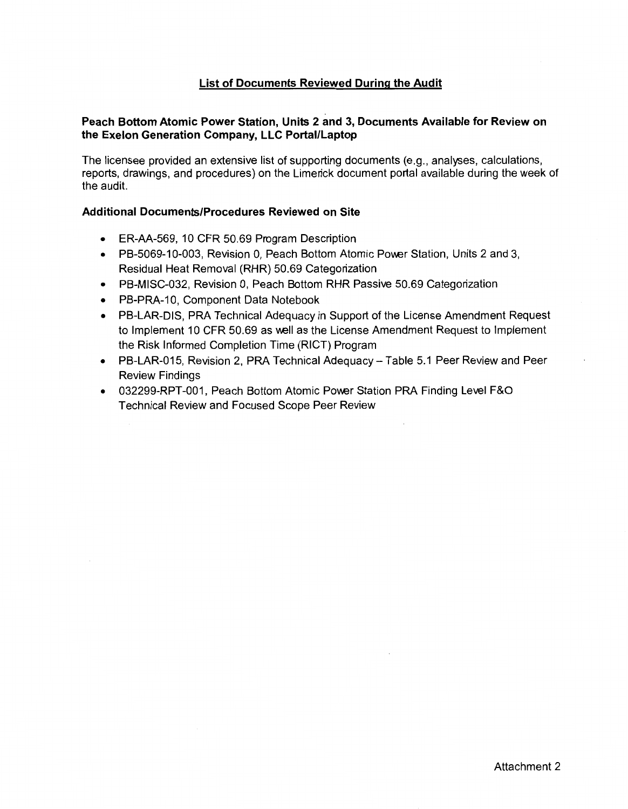## **List of Documents Reviewed During the Audit**

### **Peach Bottom Atomic Power Station, Units 2 and 3, Documents Available for Review on the Exelon Generation Company, LLC Portal/Laptop**

The licensee provided an extensive list of supporting documents (e.g., analyses, calculations, reports, drawings, and procedures) on the Limerick document portal available during the week of the audit.

#### **Additional Documents/Procedures Reviewed on Site**

- ER-AA-569, 10 CFR 50.69 Program Description
- PB-5069-10-003, Revision 0, Peach Bottom Atomic Power Station, Units 2 and 3, Residual Heat Removal (RHR) 50.69 Categorization
- PB-MISC-032, Revision 0, Peach Bottom RHR Passive 50.69 Categorization
- PB-PRA-10, Component Data Notebook
- PB-LAR-DIS, PRA Technical Adequacy in Support of the License Amendment Request to Implement 10 CFR 50.69 as well as the License Amendment Request to Implement the Risk Informed Completion Time (RICT) Program
- PB-LAR-015, Revision 2, PRA Technical Adequacy Table 5.1 Peer Review and Peer Review Findings
- 032299-RPT-001, Peach Bottom Atomic Power Station PRA Finding Level F&O Technical Review and Focused Scope Peer Review